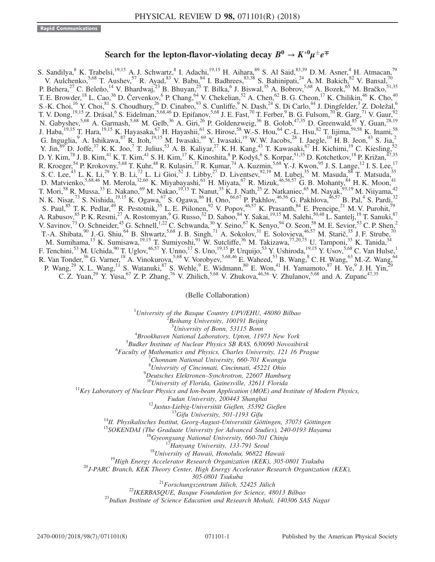## Search for the lepton-flavor-violating decay  $B^0 \to K^{*0} \mu^{\pm} e^{\mp}$

S. Sandilya, <sup>8</sup> K. Trabelsi,<sup>19,15</sup> A. J. Schwartz, <sup>8</sup> I. Adachi,<sup>19,15</sup> H. Aihara, <sup>89</sup> S. Al Said, <sup>83,39</sup> D. M. Asner, <sup>4</sup> H. Atmacan,<sup>79</sup> V. Aulchenko,  $5,68$  T. Aushev,  $57$  R. Ayad,  $83$  V. Babu,  $84$  I. Badhrees,  $83,38$  S. Bahinipati,  $24$  A. M. Bakich,  $82$  V. Bansal,  $70$ P. Behera,<sup>27</sup> C. Beleño,<sup>14</sup> V. Bhardwaj,<sup>23</sup> B. Bhuyan,<sup>25</sup> T. Bilka,<sup>6</sup> J. Biswal,<sup>35</sup> A. Bobrov,<sup>5,68</sup> A. Bozek,<sup>65</sup> M. Bračko,<sup>51,35</sup> T. E. Browder,<sup>18</sup> L. Cao,<sup>36</sup> D. Červenkov, <sup>6</sup> P. Chang, <sup>64</sup> V. Chekelian, <sup>52</sup> A. Chen, <sup>62</sup> B. G. Cheon, <sup>17</sup> K. Chilikin, <sup>46</sup> K. Cho, <sup>40</sup> S.-K. Choi, <sup>16</sup> Y. Choi, <sup>81</sup> S. Choudhury, <sup>26</sup> D. Cinabro, <sup>93</sup> S. Cunliffe, <sup>9</sup> N. Dash, <sup>24</sup> S. Di Carlo, <sup>44</sup> J. Dingfelder, <sup>3</sup> Z. Doležal, <sup>6</sup> T. V. Dong,  $^{19,15}$  Z. Drásal,  $^6$  S. Eidelman,  $^{5,68,46}$  D. Epifanov,  $^{5,68}$  J. E. Fast,  $^{70}$  T. Ferber,  $^9$  B. G. Fulsom,  $^{70}$  R. Garg,  $^{71}$  V. Gaur,  $^{92}$ N. Gabyshev,<sup>5,68</sup> A. Garmash,<sup>5,68</sup> M. Gelb,<sup>36</sup> A. Giri,<sup>26</sup> P. Goldenzweig,<sup>36</sup> B. Golob,<sup>47,35</sup> D. Greenwald,<sup>85</sup> Y. Guan,<sup>28,19</sup> J. Haba,<sup>19,15</sup> T. Hara,<sup>19,15</sup> K. Hayasaka,<sup>67</sup> H. Hayashii,<sup>61</sup> S. Hirose,<sup>58</sup> W.-S. Hou,<sup>64</sup> C.-L. Hsu,<sup>82</sup> T. Iijima,<sup>59,58</sup> K. Inami,<sup>58</sup> G. Inguglia, <sup>9</sup> A. Ishikawa, <sup>87</sup> R. Itoh, <sup>19,15</sup> M. Iwasaki, <sup>69</sup> Y. Iwasaki, <sup>19</sup> W. W. Jacobs, <sup>28</sup> I. Jaegle, <sup>10</sup> H. B. Jeon, <sup>43</sup> S. Jia, <sup>2</sup> Y. Jin,  $^{89}$  D. Joffe,  $^{37}$  K. K. Joo, T. Julius,  $^{53}$  A. B. Kaliyar,  $^{27}$  K. H. Kang,  $^{43}$  T. Kawasaki,  $^{67}$  H. Kichimi,  $^{19}$  C. Kiesling,  $^{52}$ D. Y. Kim,<sup>78</sup> J. B. Kim,<sup>41</sup> K. T. Kim,<sup>41</sup> S. H. Kim,<sup>17</sup> K. Kinoshita,<sup>8</sup> P. Kodyš,<sup>6</sup> S. Korpar,<sup>51,35</sup> D. Kotchetkov,<sup>18</sup> P. Križan,<sup>47,35</sup> R. Kroeger,<sup>54</sup> P. Krokovny,<sup>5,68</sup> T. Kuhr,<sup>48</sup> R. Kulasiri,<sup>37</sup> R. Kumar,<sup>74</sup> A. Kuzmin,<sup>5,68</sup> Y.-J. Kwon,<sup>95</sup> J. S. Lange,<sup>12</sup> I. S. Lee,<sup>17</sup> S. C. Lee,<sup>43</sup> L. K. Li,<sup>29</sup> Y. B. Li,<sup>72</sup> L. Li Gioi,<sup>52</sup> J. Libby,<sup>27</sup> D. Liventsev,<sup>92,19</sup> M. Lubej,<sup>35</sup> M. Masuda,<sup>88</sup> T. Matsuda,<sup>55</sup> D. Matvienko, 5,68,46 M. Merola, 32,60 K. Miyabayashi, 61 H. Miyata, 67 R. Mizuk, 46,56,57 G. B. Mohanty, 84 H. K. Moon, 41 T. Mori,<sup>58</sup> R. Mussa,<sup>33</sup> E. Nakano,<sup>69</sup> M. Nakao,<sup>19,15</sup> T. Nanut,<sup>35</sup> K. J. Nath,<sup>25</sup> Z. Natkaniec,<sup>65</sup> M. Nayak,<sup>93,19</sup> M. Niiyama,<sup>42</sup> N. K. Nisar,<sup>73</sup> S. Nishida,<sup>19,15</sup> K. Ogawa,<sup>67</sup> S. Ogawa,<sup>86</sup> H. Ono,<sup>66,67</sup> P. Pakhlov,<sup>46,56</sup> G. Pakhlova,<sup>46,57</sup> B. Pal,<sup>4</sup> S. Pardi,<sup>32</sup> S. Paul, <sup>85</sup> T. K. Pedlar, <sup>49</sup> R. Pestotnik, <sup>35</sup> L. E. Piilonen, <sup>92</sup> V. Popov, <sup>46,57</sup> K. Prasanth, <sup>84</sup> E. Prencipe, <sup>21</sup> M. V. Purohit, <sup>79</sup> A. Rabusov, <sup>85</sup> P. K. Resmi, <sup>27</sup> A. Rostomyan, <sup>9</sup> G. Russo, <sup>32</sup> D. Sahoo, <sup>84</sup> Y. Sakai, <sup>19,15</sup> M. Salehi, <sup>50,48</sup> L. Santelj, <sup>19</sup> T. Sanuki, <sup>87</sup> V. Savinov,<sup>73</sup> O. Schneider,<sup>45</sup> G. Schnell,<sup>1,22</sup> C. Schwanda,<sup>30</sup> Y. Seino,<sup>67</sup> K. Senyo,<sup>94</sup> O. Seon,<sup>58</sup> M. E. Sevior,<sup>53</sup> C. P. Shen,<sup>2</sup> T.-A. Shibata,  $^{90}$  J.-G. Shiu,  $^{64}$  B. Shwartz,  $^{5,68}$  J. B. Singh,  $^{71}$  A. Sokolov,  $^{31}$  E. Solovieva,  $^{46,57}$  M. Starič,  $^{35}$  J. F. Strube,  $^{70}$ M. Sumihama,<sup>13</sup> K. Sumisawa,<sup>19,15</sup> T. Sumiyoshi,<sup>91</sup> W. Sutcliffe,<sup>36</sup> M. Takizawa,<sup>77,20,75</sup> U. Tamponi,<sup>33</sup> K. Tanida,<sup>34</sup> F. Tenchini,<sup>53</sup> M. Uchida,<sup>90</sup> T. Uglov,<sup>46,57</sup> Y. Unno,<sup>17</sup> S. Uno,<sup>19,15</sup> P. Urquijo,<sup>53</sup> Y. Ushiroda,<sup>19,15</sup> Y. Usov,<sup>5,68</sup> C. Van Hulse,<sup>1</sup> R. Van Tonder,<sup>36</sup> G. Varner,<sup>18</sup> A. Vinokurova,<sup>5,68</sup> V. Vorobyev,<sup>5,68,46</sup> E. Waheed,<sup>53</sup> B. Wang,<sup>8</sup> C. H. Wang,<sup>63</sup> M.-Z. Wang,<sup>64</sup> P. Wang,  $2^9$  X. L. Wang,  $1^1$  S. Watanuki,  $8^7$  S. Wehle,  $9^9$  E. Widmann,  $8^0$  E. Won,  $4^1$  H. Yamamoto,  $8^7$  H. Ye,  $9^9$  J. H. Yin,  $2^9$ C. Z. Yuan,<sup>29</sup> Y. Yusa,<sup>67</sup> Z. P. Zhang,<sup>76</sup> V. Zhilich,<sup>5,68</sup> V. Zhukova,<sup>46,56</sup> V. Zhulanov,<sup>5,68</sup> and A. Zupanc<sup>47,35</sup>

(Belle Collaboration)

<sup>1</sup>University of the Basque Country UPV/EHU, 48080 Bilbao  $\frac{2 \text{ B} \text{g} \cdot \text{h}}{2 \text{ B} \text{g} \cdot \text{h}}$  are University 100101 Bailing

 $B$ eihang University, 100191 Beijing

<sup>3</sup>University of Bonn, 53115 Bonn  $^{3}$ University of Bonn, 53115 Bonn<br> $^{4}$ Preskkever Metional Laboratory, Union 110

 $B_{B}$  Brookhaven National Laboratory, Upton, 11973 New York  $5_{B}$  and  $B_{B}$  and  $B_{B}$  and  $B_{B}$  and  $B_{B}$  and  $B_{B}$  and  $B_{B}$  and  $B_{B}$  and  $B_{B}$  and  $B_{B}$  and  $B_{B}$  and  $B_{B}$  and  $B_{B}$  and  $B_{B}$  and  $B_{B}$ 

 ${}^{5}$ Budker Institute of Nuclear Physics SB RAS, 630090 Novosibirsk

 ${}^{6}$ Faculty of Mathematics and Physics, Charles University, 121 16 Prague

 $^{7}$ Chonnam National University, 660-701 Kwangju

<sup>8</sup> University of Cincinnati, Cincinnati, 45221 Ohio<sup>9</sup> Dautsches, Elektronen, Synchretren, 22607 Hambu-

<sup>9</sup>Deutsches Elektronen–Synchrotron, 22607 Hamburg<br><sup>10</sup>University of Florida, Gainesville, 32611 Florida<br><sup>11</sup>Key Laboratory of Nuclear Physics and Ion-beam Application (MOE) and Institute of Modern Physics,

Fudan University, 200443 Shanghai<br><sup>12</sup>Justus-Liebig-Universität Gießen, 35392 Gießen<br><sup>13</sup>Gifu University, 501-1193 Gifu<br><sup>14</sup>II. Physikalisches Institut, Georg-August-Universität Göttingen, 37073 Göttingen<br><sup>15</sup>SOKENDAI (The

305-0801 Tsukuba<br><sup>21</sup>Forschungszentrum Jülich, 52425 Jülich<sup>22</sup>IKERBASQUE, Basque Foundation for Science, 48013 Bilbao<br><sup>23</sup>Indian Institute of Science Education and Research Mohali, 140306 SAS Nagar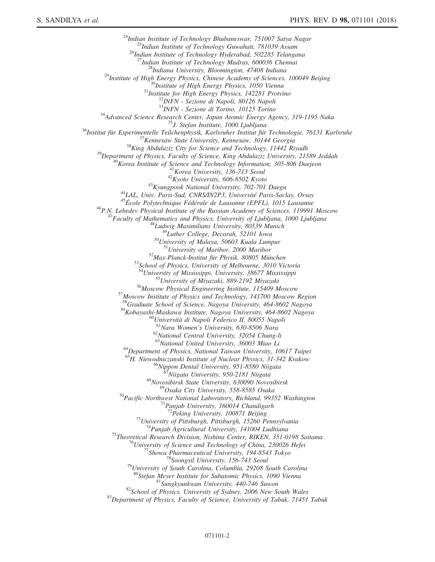<sup>24</sup>Indian Institute of Technology Bhubaneswar, 751007 Satya Nagar<br><sup>25</sup>Indian Institute of Technology Guwahati, 781039 Assam<br><sup>26</sup>Indian Institute of Technology Hyderabad, 502285 Telangana<br><sup>27</sup>Indian Institute of Technolog <sup>29</sup>Institute of High Energy Physics, Chinese Academy of Sciences, 100049 Beijing<br><sup>29</sup>Institute of High Energy Physics, Chinese Academy of Sciences, 100049 Beijing<br><sup>30</sup>Institute of High Energy Physics, 1050 Vienna<br><sup>31</sup>Ins  $^{33}NFN$  - Sezione di Torino, 10125 Torino<br>  $^{34}$ Advanced Science Research Center, Japan Atomic Energy Agency, 319-1195 Naka<br>  $^{35}$ Institut für Experimentelle Teilchenphysik, Karlsruher Institut für Technologie, 76131 K <sup>53</sup>School of Physics, University of Melbourne, 3010 Victoria<br><sup>54</sup>University of Mississippi, University, 38677 Mississippi<br><sup>55</sup>University of Miyazaki, 889-2192 Miyazaki<br><sup>56</sup>Moscow Physical Engineering Institute, 115409 Mo <sup>58</sup>Graduate School of Science, Nagoya University, 464-8602 Nagoya <sup>59</sup>Kobayashi-Maskawa Institute, Nagoya University, 464-8602 Nagoya<br>
<sup>60</sup>Università di Napoli Federico II, 80055 Napoli<br>
<sup>61</sup>Nara Women's University, 630-8506 Nara<br>
<sup>62</sup>National Central University, 32054 Chung-li<br>
<sup>63</sup>Nat <sup>64</sup>Department of Physics, National Taiwan University, 10617 Taipei <sup>65</sup>H. Niewodniczanski Institute of Nuclear Physics, 31-342 Krakow <sup>66</sup>Nippon Dental University, 951-8580 Niigata <sup>67</sup>Niigata University, 950-2181 Niigata <sup>68</sup>Novosibirsk State University, 630090 Novosibirsk <sup>69</sup>Osaka Cit <sup>70</sup>Pacific Northwest National Laboratory, Richland, 99352 Washington <sup>71</sup>Panjab University, 160014 Chandigarh<br><sup>72</sup>Peking University, 100871 Beijing <sup>73</sup>University of Pittsburgh, Pittsburgh, 15260 Pennsylvania<br><sup>74</sup>Punjab Agricultural University, 141004 Ludhiana<br><sup>75</sup>Theoretical Research Division, Nishina Center, RIKEN, 351-0198 Saitama<br><sup>76</sup>University of Science and Tec <sup>81</sup>Sungkyunkwan University, 440-746 Suwon<br><sup>82</sup>School of Physics, University of Sydney, 2006 New South Wales<br><sup>83</sup>Department of Physics, Faculty of Science, University of Tabuk, 71451 Tabuk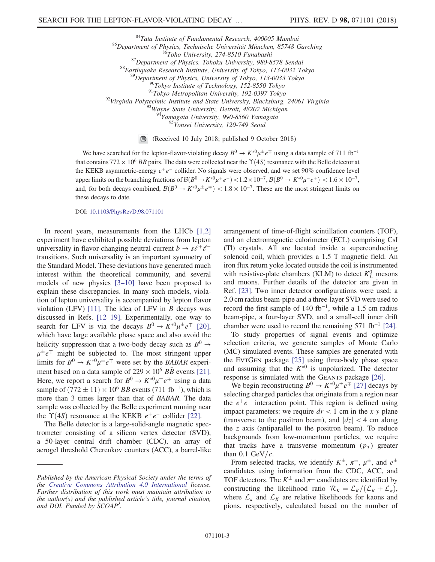<sup>84</sup>Tata Institute of Fundamental Research, 400005 Mumbai<br>
<sup>85</sup>Department of Physics, Technische Universität München, 85748 Garching<br>
<sup>86</sup>Toho University, 274-8510 Funabashi<br>
<sup>87</sup>Department of Physics, Tohoku University, <sup>95</sup>Yonsei University, 120-749 Seoul

> (Received 10 July 2018; published 9 October 2018)  $\bigcirc$

We have searched for the lepton-flavor-violating decay  $B^0 \to K^{*0} \mu^{\pm} e^{\mp}$  using a data sample of 711 fb<sup>-1</sup> that contains 772  $\times$  10<sup>6</sup> BB pairs. The data were collected near the  $\Upsilon(4S)$  resonance with the Belle detector at the KEKB asymmetric-energy  $e^+e^-$  collider. No signals were observed, and we set 90% confidence level upper limits on the branching fractions of  $\mathcal{B}(B^0 \to K^{*0}\mu^+e^-) < 1.2 \times 10^{-7}$ ,  $\mathcal{B}(B^0 \to K^{*0}\mu^-e^+) < 1.6 \times 10^{-7}$ , and, for both decays combined,  $\mathcal{B}(B^0 \to K^{*0}\mu^{\pm}e^{\mp}) < 1.8 \times 10^{-7}$ . These are the most stringent limits on these decays to date.

DOI: [10.1103/PhysRevD.98.071101](https://doi.org/10.1103/PhysRevD.98.071101)

In recent years, measurements from the LHCb  $[1,2]$ experiment have exhibited possible deviations from lepton universality in flavor-changing neutral-current  $b \rightarrow s\ell^+\ell^$ transitions. Such universality is an important symmetry of the Standard Model. These deviations have generated much interest within the theoretical community, and several models of new physics [3–[10\]](#page-7-1) have been proposed to explain these discrepancies. In many such models, violation of lepton universality is accompanied by lepton flavor violation (LFV) [\[11\].](#page-7-2) The idea of LFV in  $B$  decays was discussed in Refs. [\[12](#page-7-3)–19]. Experimentally, one way to search for LFV is via the decays  $B^0 \to K^{*0} \mu^{\pm} e^{\mp}$  [\[20\]](#page-7-4), which have large available phase space and also avoid the helicity suppression that a two-body decay such as  $B^0 \rightarrow$  $\mu^{\pm}e^{\mp}$  might be subjected to. The most stringent upper limits for  $B^0 \to K^{*0} \mu^{\pm} e^{\mp}$  were set by the *BABAR* experiment based on a data sample of  $229 \times 10^6$  BB events [\[21\]](#page-7-5). Here, we report a search for  $B^0 \to K^{*0} \mu^{\pm} e^{\mp}$  using a data sample of  $(772 \pm 11) \times 10^6$  BB<sup>b</sup> events  $(711 \text{ fb}^{-1})$ , which is more than 3 times larger than that of BABAR. The data sample was collected by the Belle experiment running near the  $\Upsilon(4S)$  resonance at the KEKB  $e^+e^-$  collider [\[22\].](#page-7-6)

The Belle detector is a large-solid-angle magnetic spectrometer consisting of a silicon vertex detector (SVD), a 50-layer central drift chamber (CDC), an array of aerogel threshold Cherenkov counters (ACC), a barrel-like arrangement of time-of-flight scintillation counters (TOF), and an electromagnetic calorimeter (ECL) comprising CsI (Tl) crystals. All are located inside a superconducting solenoid coil, which provides a 1.5 T magnetic field. An iron flux return yoke located outside the coil is instrumented with resistive-plate chambers (KLM) to detect  $K<sub>L</sub><sup>0</sup>$  mesons and muons. Further details of the detector are given in Ref. [\[23\]](#page-7-7). Two inner detector configurations were used: a 2.0 cm radius beam-pipe and a three-layer SVD were used to record the first sample of 140 fb<sup>-1</sup>, while a 1.5 cm radius beam-pipe, a four-layer SVD, and a small-cell inner drift chamber were used to record the remaining  $571$  fb<sup>-1</sup> [\[24\]](#page-7-8).

To study properties of signal events and optimize selection criteria, we generate samples of Monte Carlo (MC) simulated events. These samples are generated with the EVTGEN package [\[25\]](#page-7-9) using three-body phase space and assuming that the  $K^{*0}$  is unpolarized. The detector response is simulated with the GEANT3 package [\[26\]](#page-7-10).

We begin reconstructing  $B^0 \to K^{*0} \mu^{\pm} e^{\mp}$  [\[27\]](#page-7-11) decays by selecting charged particles that originate from a region near the  $e^+e^-$  interaction point. This region is defined using impact parameters: we require  $dr < 1$  cm in the x-y plane (transverse to the positron beam), and  $|dz| < 4$  cm along the  $z$  axis (antiparallel to the positron beam). To reduce backgrounds from low-momentum particles, we require that tracks have a transverse momentum  $(p_T)$  greater than 0.1 GeV/ $c$ .

From selected tracks, we identify  $K^{\pm}$ ,  $\pi^{\pm}$ ,  $\mu^{\pm}$ , and  $e^{\pm}$ candidates using information from the CDC, ACC, and TOF detectors. The  $K^{\pm}$  and  $\pi^{\pm}$  candidates are identified by constructing the likelihood ratio  $\mathcal{R}_K = \mathcal{L}_K / (\mathcal{L}_K + \mathcal{L}_\pi)$ , where  $\mathcal{L}_{\pi}$  and  $\mathcal{L}_{K}$  are relative likelihoods for kaons and pions, respectively, calculated based on the number of

Published by the American Physical Society under the terms of the [Creative Commons Attribution 4.0 International](https://creativecommons.org/licenses/by/4.0/) license. Further distribution of this work must maintain attribution to the author(s) and the published article's title, journal citation, and DOI. Funded by SCOAP<sup>3</sup>.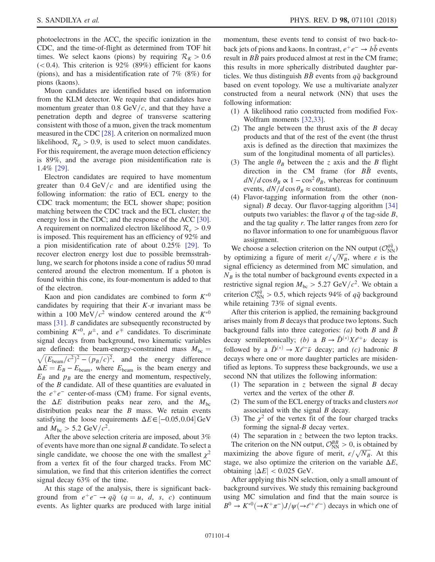photoelectrons in the ACC, the specific ionization in the CDC, and the time-of-flight as determined from TOF hit times. We select kaons (pions) by requiring  $\mathcal{R}_K > 0.6$  $(< 0.4)$ . This criterion is 92% (89%) efficient for kaons (pions), and has a misidentification rate of 7% (8%) for pions (kaons).

Muon candidates are identified based on information from the KLM detector. We require that candidates have momentum greater than 0.8 GeV/ $c$ , and that they have a penetration depth and degree of transverse scattering consistent with those of a muon, given the track momentum measured in the CDC [\[28\]](#page-7-12). A criterion on normalized muon likelihood,  $\mathcal{R}_{\mu} > 0.9$ , is used to select muon candidates. For this requirement, the average muon detection efficiency is 89%, and the average pion misidentification rate is 1.4% [\[29\].](#page-7-13)

Electron candidates are required to have momentum greater than  $0.4 \text{ GeV}/c$  and are identified using the following information: the ratio of ECL energy to the CDC track momentum; the ECL shower shape; position matching between the CDC track and the ECL cluster; the energy loss in the CDC; and the response of the ACC [\[30\]](#page-7-14). A requirement on normalized electron likelihood  $\mathcal{R}_e > 0.9$ is imposed. This requirement has an efficiency of 92% and a pion misidentification rate of about 0.25% [\[29\].](#page-7-13) To recover electron energy lost due to possible bremsstrahlung, we search for photons inside a cone of radius 50 mrad centered around the electron momentum. If a photon is found within this cone, its four-momentum is added to that of the electron.

Kaon and pion candidates are combined to form  $K^{*0}$ candidates by requiring that their  $K-\pi$  invariant mass be within a 100 MeV/ $c^2$  window centered around the  $K^{*0}$ mass [\[31\].](#page-7-15) B candidates are subsequently reconstructed by combining  $K^{*0}$ ,  $\mu^{\pm}$ , and  $e^{\mp}$  candidates. To discriminate signal decays from background, two kinematic variables are defined: the beam-energy-constrained mass  $M_{bc}$  =  $\sqrt{(E_{\text{beam}}/c^2)^2 - (p_B/c)^2}$ , and the energy difference  $\Delta E = E_B - E_{\text{beam}}$ , where  $E_{\text{beam}}$  is the beam energy and  $E_B$  and  $p_B$  are the energy and momentum, respectively, of the B candidate. All of these quantities are evaluated in the  $e^+e^-$  center-of-mass (CM) frame. For signal events, the  $\Delta E$  distribution peaks near zero, and the  $M_{bc}$ distribution peaks near the  $B$  mass. We retain events satisfying the loose requirements  $\Delta E \in [-0.05, 0.04]$  GeV and  $M_{\rm bc} > 5.2 \text{ GeV}/c^2$ .

After the above selection criteria are imposed, about 3% of events have more than one signal  $B$  candidate. To select a single candidate, we choose the one with the smallest  $\chi^2$ from a vertex fit of the four charged tracks. From MC simulation, we find that this criterion identifies the correct signal decay 63% of the time.

At this stage of the analysis, there is significant background from  $e^+e^- \rightarrow q\bar{q}$  ( $q = u, d, s, c$ ) continuum events. As lighter quarks are produced with large initial momentum, these events tend to consist of two back-toback jets of pions and kaons. In contrast,  $e^+e^- \rightarrow b\bar{b}$  events result in  $B\bar{B}$  pairs produced almost at rest in the CM frame; this results in more spherically distributed daughter particles. We thus distinguish  $B\bar{B}$  events from  $q\bar{q}$  background based on event topology. We use a multivariate analyzer constructed from a neural network (NN) that uses the following information:

- (1) A likelihood ratio constructed from modified Fox-Wolfram moments [\[32,33\]](#page-7-16).
- (2) The angle between the thrust axis of the B decay products and that of the rest of the event (the thrust axis is defined as the direction that maximizes the sum of the longitudinal momenta of all particles).
- (3) The angle  $\theta_B$  between the z axis and the B flight direction in the CM frame (for  $B\bar{B}$  events,  $dN/d\cos\theta_B \propto 1 - \cos^2\theta_B$ , whereas for continuum events,  $dN/d\cos\theta_B \approx$  constant).
- (4) Flavor-tagging information from the other (nonsignal) *B* decay. Our flavor-tagging algorithm  $[34]$ outputs two variables: the flavor  $q$  of the tag-side  $B$ , and the tag quality r. The latter ranges from zero for no flavor information to one for unambiguous flavor assignment.

We choose a selection criterion on the NN output  $(\mathcal{O}_{NN}^{q\bar{q}})$ We choose a selection criterion on the NN output  $(\mathcal{O}_{NN}^{32})$ <br>by optimizing a figure of merit  $\varepsilon/\sqrt{N_B}$ , where  $\varepsilon$  is the signal efficiency as determined from MC simulation, and  $N_B$  is the total number of background events expected in a restrictive signal region  $M_{bc} > 5.27 \text{ GeV}/c^2$ . We obtain a criterion  $\mathcal{O}_{NN}^{q\bar{q}} > 0.5$ , which rejects 94% of  $q\bar{q}$  background while retaining 73% of signal events.

After this criterion is applied, the remaining background arises mainly from B decays that produce two leptons. Such background falls into three categories: (a) both B and  $\bar{B}$ decay semileptonically; (b) a  $B \to \bar{D}^{(*)} X \ell^+ \nu$  decay is followed by a  $\bar{D}^{(*)} \to X \ell^- \bar{\nu}$  decay; and (c) hadronic B decays where one or more daughter particles are misidentified as leptons. To suppress these backgrounds, we use a second NN that utilizes the following information:

- (1) The separation in z between the signal  $B$  decay vertex and the vertex of the other B.
- (2) The sum of the ECL energy of tracks and clusters not associated with the signal B decay.
- (3) The  $\chi^2$  of the vertex fit of the four charged tracks forming the signal- $B$  decay vertex.
- (4) The separation in z between the two lepton tracks.

The criterion on the NN output,  $\mathcal{O}_{NN}^{BB} > 0$ , is obtained by The criterion on the NN output,  $C_{NN}^{20} > 0$ , is obtained by maximizing the above figure of merit,  $\varepsilon/\sqrt{N_B}$ . At this stage, we also optimize the criterion on the variable  $\Delta E$ , obtaining  $|\Delta E|$  < 0.025 GeV.

After applying this NN selection, only a small amount of background survives. We study this remaining background using MC simulation and find that the main source is  $B^0 \to K^{*0}(\to K^+\pi^-)J/\psi(\to \ell^+\ell^-)$  decays in which one of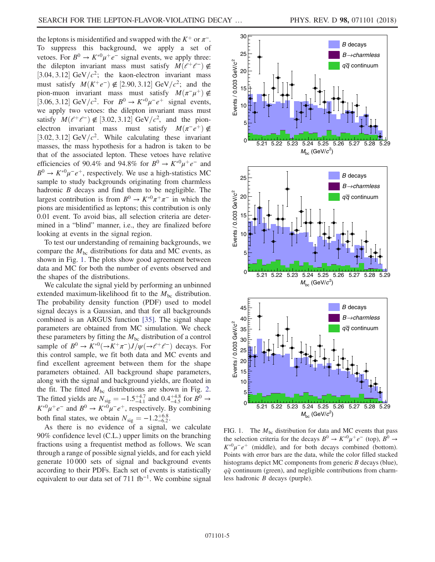the leptons is misidentified and swapped with the  $K^+$  or  $\pi^-$ . To suppress this background, we apply a set of vetoes. For  $B^0 \to K^{*0} \mu^+ e^-$  signal events, we apply three: the dilepton invariant mass must satisfy  $M(e^+e^-) \notin$ [3.04, 3.12] GeV/ $c^2$ ; the kaon-electron invariant mass must satisfy  $M(K^+e^-) \notin [2.90, 3.12] \text{ GeV}/c^2$ ; and the pion-muon invariant mass must satisfy  $M(\pi^{-}\mu^{+}) \notin$ [3.06, 3.12] GeV/ $c^2$ . For  $B^0 \rightarrow K^{*0} \mu^- e^+$  signal events, we apply two vetoes: the dilepton invariant mass must satisfy  $M(\ell^+\ell^-) \notin [3.02, 3.12] \text{ GeV}/c^2$ , and the pionelectron invariant mass must satisfy  $M(\pi^-e^+) \notin$ [3.02, 3.12] GeV/ $c^2$ . While calculating these invariant masses, the mass hypothesis for a hadron is taken to be that of the associated lepton. These vetoes have relative efficiencies of 90.4% and 94.8% for  $B^0 \to K^{*0} \mu^+ e^-$  and  $B^0 \rightarrow K^{*0} \mu^- e^+$ , respectively. We use a high-statistics MC sample to study backgrounds originating from charmless hadronic  $B$  decays and find them to be negligible. The largest contribution is from  $B^0 \to K^{*0} \pi^+ \pi^-$  in which the pions are misidentified as leptons; this contribution is only 0.01 event. To avoid bias, all selection criteria are determined in a "blind" manner, i.e., they are finalized before looking at events in the signal region.

To test our understanding of remaining backgrounds, we compare the  $M_{bc}$  distributions for data and MC events, as shown in Fig. [1](#page-4-0). The plots show good agreement between data and MC for both the number of events observed and the shapes of the distributions.

We calculate the signal yield by performing an unbinned extended maximum-likelihood fit to the  $M_{bc}$  distribution. The probability density function (PDF) used to model signal decays is a Gaussian, and that for all backgrounds combined is an ARGUS function [\[35\]](#page-7-18). The signal shape parameters are obtained from MC simulation. We check these parameters by fitting the  $M<sub>bc</sub>$  distribution of a control sample of  $B^0 \to K^{*0}(\to K^+\pi^-)J/\psi(\to \ell^+\ell^-)$  decays. For this control sample, we fit both data and MC events and find excellent agreement between them for the shape parameters obtained. All background shape parameters, along with the signal and background yields, are floated in the fit. The fitted  $M_{bc}$  distributions are shown in Fig. [2](#page-5-0). The fitted yields are  $N_{sig} = -1.5^{+4.7}_{-4.1}$  and  $0.4^{+4.8}_{-4.5}$  for  $B^0 \rightarrow$  $K^{*0}\mu^+e^-$  and  $B^0 \to K^{*0}\mu^-e^+$ , respectively. By combining both final states, we obtain  $N_{\text{sig}} = -1.2^{+6.8}_{-6.2}$ .

As there is no evidence of a signal, we calculate 90% confidence level (C.L.) upper limits on the branching fractions using a frequentist method as follows. We scan through a range of possible signal yields, and for each yield generate 10 000 sets of signal and background events according to their PDFs. Each set of events is statistically equivalent to our data set of 711 fb<sup>-1</sup>. We combine signal

<span id="page-4-0"></span>

FIG. 1. The  $M<sub>bc</sub>$  distribution for data and MC events that pass the selection criteria for the decays  $B^0 \to K^{*0} \mu^+ e^-$  (top),  $B^0 \to$  $K^{*0}\mu^-e^+$  (middle), and for both decays combined (bottom). Points with error bars are the data, while the color filled stacked histograms depict MC components from generic *B* decays (blue),  $q\bar{q}$  continuum (green), and negligible contributions from charmless hadronic B decays (purple).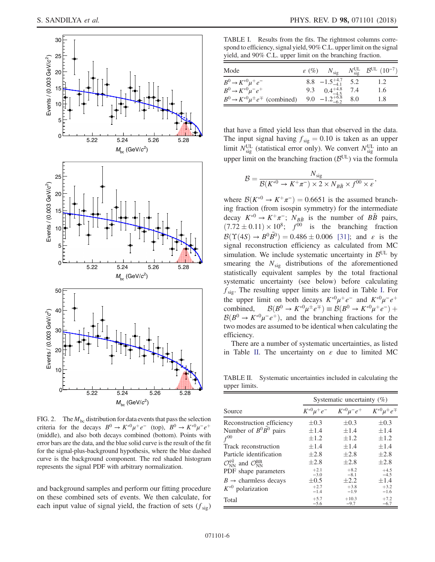<span id="page-5-0"></span>

FIG. 2. The  $M_{bc}$  distribution for data events that pass the selection criteria for the decays  $B^0 \to K^{*0} \mu^+ e^-$  (top),  $B^0 \to K^{*0} \mu^- e^+$ (middle), and also both decays combined (bottom). Points with error bars are the data, and the blue solid curve is the result of the fit for the signal-plus-background hypothesis, where the blue dashed curve is the background component. The red shaded histogram represents the signal PDF with arbitrary normalization.

and background samples and perform our fitting procedure on these combined sets of events. We then calculate, for each input value of signal yield, the fraction of sets  $(f_{sig})$ 

<span id="page-5-1"></span>TABLE I. Results from the fits. The rightmost columns correspond to efficiency, signal yield, 90% C.L. upper limit on the signal yield, and 90% C.L. upper limit on the branching fraction.

| Mode                                                  | $\varepsilon$ (%) $N_{\text{sig}}$ | $N_{\text{sig}}^{\text{UL}}$ $\beta^{\text{UL}}$ $(10^{-7})$ |
|-------------------------------------------------------|------------------------------------|--------------------------------------------------------------|
| $B^0 \to K^{*0} \mu^+ e^-$                            | 8.8 $-1.5^{+4.7}_{-4.1}$ 5.2       | 1.2                                                          |
| $B^0 \to K^{*0} \mu^- e^+$                            | 9.3 $0.4_{-4.5}^{+4.8}$ 7.4        | 1.6                                                          |
| $B^0 \rightarrow K^{*0} \mu^{\pm} e^{\mp}$ (combined) | 9.0 $-1.2^{+6.8}_{-6.2}$ 8.0       | 1.8                                                          |

that have a fitted yield less than that observed in the data. The input signal having  $f_{sig} = 0.10$  is taken as an upper limit  $N_{sig}^{UL}$  (statistical error only). We convert  $N_{sig}^{UL}$  into an upper limit on the branching fraction  $(B<sup>UL</sup>)$  via the formula

$$
\mathcal{B} = \frac{N_{\text{sig}}}{\mathcal{B}(K^{*0} \to K^+ \pi^-) \times 2 \times N_{B\bar{B}} \times f^{00} \times \varepsilon},
$$

where  $\mathcal{B}(K^{*0} \to K^+\pi^-) = 0.6651$  is the assumed branching fraction (from isospin symmetry) for the intermediate decay  $K^{*0} \rightarrow K^+\pi^-$ ;  $N_{B\bar{B}}$  is the number of  $B\bar{B}$  pairs,  $(7.72 \pm 0.11) \times 10^8$ ;  $f^{00}$  is the branching fraction  $\mathcal{B}(\Upsilon(4S) \to B^0 \overline{B^0}) = 0.486 \pm 0.006$  [\[31\]](#page-7-15); and  $\varepsilon$  is the signal reconstruction efficiency as calculated from MC simulation. We include systematic uncertainty in  $\mathcal{B}^{UL}$  by smearing the  $N_{\text{sig}}$  distributions of the aforementioned statistically equivalent samples by the total fractional systematic uncertainty (see below) before calculating  $f_{\text{sig}}$ . The resulting upper limits are listed in Table [I.](#page-5-1) For the upper limit on both decays  $K^{*0}\mu^+e^-$  and  $K^{*0}\mu^-e^+$ combined,  $\mathcal{B}(B^0 \to K^{*0} \mu^{\pm} e^{\mp}) \equiv \mathcal{B}(B^0 \to K^{*0} \mu^+ e^-) +$  $B(B^0 \to K^{*0} \mu^- e^+)$ , and the branching fractions for the two modes are assumed to be identical when calculating the efficiency.

There are a number of systematic uncertainties, as listed in Table [II](#page-5-2). The uncertainty on  $\varepsilon$  due to limited MC

<span id="page-5-2"></span>TABLE II. Systematic uncertainties included in calculating the upper limits.

|                                                           | Systematic uncertainty $(\%)$ |                      |                          |  |
|-----------------------------------------------------------|-------------------------------|----------------------|--------------------------|--|
| Source                                                    | $K^{*0}\mu^+e^-$              | $K^{*0}\mu^{-}e^{+}$ | $K^{*0}\mu^{\pm}e^{\mp}$ |  |
| Reconstruction efficiency                                 | $\pm 0.3$                     | $\pm 0.3$            | $\pm 0.3$                |  |
| Number of $B^0\overline{B^0}$ pairs                       | $\pm 1.4$                     | $\pm 1.4$            | ±1.4                     |  |
| $f^{00}$                                                  | ±1.2                          | $\pm 1.2$            | $\pm 1.2$                |  |
| Track reconstruction                                      | $\pm 1.4$                     | $\pm 1.4$            | $\pm 1.4$                |  |
| Particle identification                                   | $\pm 2.8$                     | $+2.8$               | $+2.8$                   |  |
| $\mathcal{O}_{NN}^{q\bar{q}}$ and $\mathcal{O}_{NN}^{BB}$ | $\pm 2.8$                     | $+2.8$               | $+2.8$                   |  |
| PDF shape parameters                                      | $+2.1$<br>$-3.0$              | $+8.2$<br>$-8.1$     | $+4.5$<br>$-4.5$         |  |
| $B \rightarrow$ charmless decays                          | $\pm 0.5$                     | $+2.2$               | ±1.4                     |  |
| $K^{*0}$ polarization                                     | $+2.7$<br>$-1.4$              | $+3.8$<br>$-1.9$     | $+3.2$<br>$-1.6$         |  |
| Total                                                     | $+5.7$<br>$-5.6$              | $+10.3$<br>$-9.7$    | $+7.2$<br>$-6.7$         |  |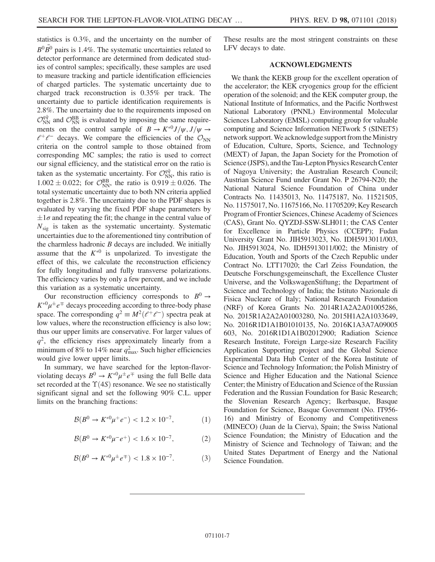statistics is 0.3%, and the uncertainty on the number of  $B^0 \overline{B}{}^0$  pairs is 1.4%. The systematic uncertainties related to detector performance are determined from dedicated studies of control samples; specifically, these samples are used to measure tracking and particle identification efficiencies of charged particles. The systematic uncertainty due to charged track reconstruction is 0.35% per track. The uncertainty due to particle identification requirements is 2.8%. The uncertainty due to the requirements imposed on  $\mathcal{O}_{NN}^{q\bar{q}}$  and  $\mathcal{O}_{NN}^{BB}$  is evaluated by imposing the same requirements on the control sample of  $B \to K^{*0} J/\psi$ ,  $J/\psi \to$  $l^+l^-$  decays. We compare the efficiencies of the  $\mathcal{O}_{NN}$ criteria on the control sample to those obtained from corresponding MC samples; the ratio is used to correct our signal efficiency, and the statistical error on the ratio is taken as the systematic uncertainty. For  $\mathcal{O}_{NN}^{q\bar{q}}$ , this ratio is  $1.002 \pm 0.022$ ; for  $\mathcal{O}_{NN}^{BB}$ , the ratio is  $0.919 \pm 0.026$ . The total systematic uncertainty due to both NN criteria applied together is 2.8%. The uncertainty due to the PDF shapes is evaluated by varying the fixed PDF shape parameters by  $\pm 1\sigma$  and repeating the fit; the change in the central value of  $N_{sig}$  is taken as the systematic uncertainty. Systematic uncertainties due to the aforementioned tiny contribution of the charmless hadronic  $B$  decays are included. We initially assume that the  $K^{*0}$  is unpolarized. To investigate the effect of this, we calculate the reconstruction efficiency for fully longitudinal and fully transverse polarizations. The efficiency varies by only a few percent, and we include this variation as a systematic uncertainty.

Our reconstruction efficiency corresponds to  $B^0 \rightarrow$  $K^{0} \mu^{\pm} e^{\mp}$  decays proceeding according to three-body phase space. The corresponding  $q^2 \equiv M^2(\ell^+\ell^-)$  spectra peak at low values, where the reconstruction efficiency is also low; thus our upper limits are conservative. For larger values of  $q^2$ , the efficiency rises approximately linearly from a minimum of 8% to 14% near  $q_{\text{max}}^2$ . Such higher efficiencies would give lower upper limits.

In summary, we have searched for the lepton-flavorviolating decays  $B^0 \to K^{*0} \mu^{\pm} e^{\mp}$  using the full Belle data set recorded at the  $\Upsilon(4S)$  resonance. We see no statistically significant signal and set the following 90% C.L. upper limits on the branching fractions:

$$
\mathcal{B}(B^0 \to K^{*0} \mu^+ e^-) < 1.2 \times 10^{-7},\tag{1}
$$

$$
\mathcal{B}(B^0 \to K^{*0} \mu^- e^+) < 1.6 \times 10^{-7},\tag{2}
$$

$$
\mathcal{B}(B^0 \to K^{*0} \mu^{\pm} e^{\mp}) < 1.8 \times 10^{-7}.\tag{3}
$$

These results are the most stringent constraints on these LFV decays to date.

## ACKNOWLEDGMENTS

We thank the KEKB group for the excellent operation of the accelerator; the KEK cryogenics group for the efficient operation of the solenoid; and the KEK computer group, the National Institute of Informatics, and the Pacific Northwest National Laboratory (PNNL) Environmental Molecular Sciences Laboratory (EMSL) computing group for valuable computing and Science Information NETwork 5 (SINET5) network support. We acknowledge support from the Ministry of Education, Culture, Sports, Science, and Technology (MEXT) of Japan, the Japan Society for the Promotion of Science (JSPS), and the Tau-Lepton Physics Research Center of Nagoya University; the Australian Research Council; Austrian Science Fund under Grant No. P 26794-N20; the National Natural Science Foundation of China under Contracts No. 11435013, No. 11475187, No. 11521505, No. 11575017, No. 11675166, No. 11705209; Key Research Program of Frontier Sciences, Chinese Academy of Sciences (CAS), Grant No. QYZDJ-SSW-SLH011; the CAS Center for Excellence in Particle Physics (CCEPP); Fudan University Grant No. JIH5913023, No. IDH5913011/003, No. JIH5913024, No. IDH5913011/002; the Ministry of Education, Youth and Sports of the Czech Republic under Contract No. LTT17020; the Carl Zeiss Foundation, the Deutsche Forschungsgemeinschaft, the Excellence Cluster Universe, and the VolkswagenStiftung; the Department of Science and Technology of India; the Istituto Nazionale di Fisica Nucleare of Italy; National Research Foundation (NRF) of Korea Grants No. 2014R1A2A2A01005286, No. 2015R1A2A2A01003280, No. 2015H1A2A1033649, No. 2016R1D1A1B01010135, No. 2016K1A3A7A09005 603, No. 2016R1D1A1B02012900; Radiation Science Research Institute, Foreign Large-size Research Facility Application Supporting project and the Global Science Experimental Data Hub Center of the Korea Institute of Science and Technology Information; the Polish Ministry of Science and Higher Education and the National Science Center; the Ministry of Education and Science of the Russian Federation and the Russian Foundation for Basic Research; the Slovenian Research Agency; Ikerbasque, Basque Foundation for Science, Basque Government (No. IT956- 16) and Ministry of Economy and Competitiveness (MINECO) (Juan de la Cierva), Spain; the Swiss National Science Foundation; the Ministry of Education and the Ministry of Science and Technology of Taiwan; and the United States Department of Energy and the National Science Foundation.